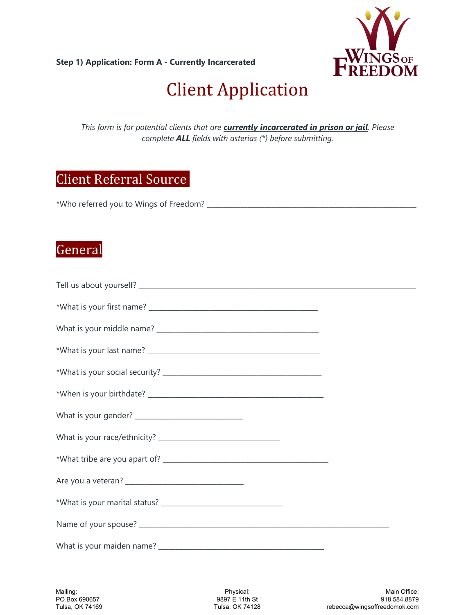**Step 1) Application: Form A - Currently Incarcerated**



# **Client Application**

*This form is for potential clients that are currently incarcerated in prison or jail. Please complete ALL fields with asterias (\*) before submitting.*

## Client Referral Source

\*Who referred you to Wings of Freedom? \_\_\_\_\_\_\_\_\_\_\_\_\_\_\_\_\_\_\_\_\_\_\_\_\_\_\_\_\_\_\_\_\_\_\_\_\_\_\_\_\_\_\_\_\_\_\_\_\_\_\_\_\_\_\_\_\_\_\_\_\_\_

### **General**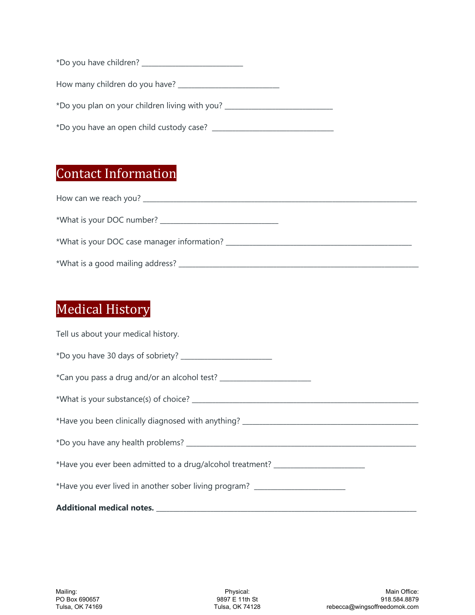| How many children do you have? ______               |  |
|-----------------------------------------------------|--|
| *Do you plan on your children living with you? ____ |  |
| *Do you have an open child custody case?            |  |

# **Contact Information**

| How can we reach you? Notified the state of the state of the state of the state of the state of the state of the state of the state of the state of the state of the state of the state of the state of the state of the state |
|--------------------------------------------------------------------------------------------------------------------------------------------------------------------------------------------------------------------------------|
| *What is your DOC number?                                                                                                                                                                                                      |
| *What is your DOC case manager information?                                                                                                                                                                                    |
|                                                                                                                                                                                                                                |

# **Medical History**

| Tell us about your medical history.                                              |
|----------------------------------------------------------------------------------|
|                                                                                  |
| *Can you pass a drug and/or an alcohol test? ___________________________________ |
|                                                                                  |
| *Have you been clinically diagnosed with anything? _____________________________ |
|                                                                                  |
| *Have you ever been admitted to a drug/alcohol treatment? ______________________ |
| *Have you ever lived in another sober living program? __________________________ |
|                                                                                  |